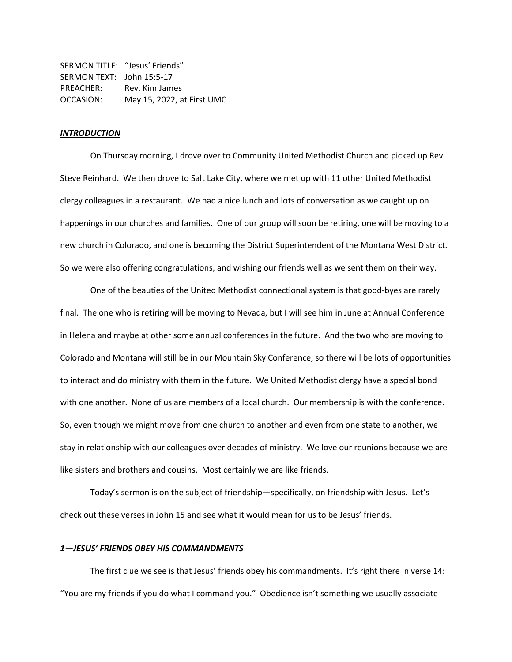SERMON TITLE: "Jesus' Friends" SERMON TEXT: John 15:5-17 PREACHER: Rev. Kim James OCCASION: May 15, 2022, at First UMC

#### *INTRODUCTION*

On Thursday morning, I drove over to Community United Methodist Church and picked up Rev. Steve Reinhard. We then drove to Salt Lake City, where we met up with 11 other United Methodist clergy colleagues in a restaurant. We had a nice lunch and lots of conversation as we caught up on happenings in our churches and families. One of our group will soon be retiring, one will be moving to a new church in Colorado, and one is becoming the District Superintendent of the Montana West District. So we were also offering congratulations, and wishing our friends well as we sent them on their way.

One of the beauties of the United Methodist connectional system is that good-byes are rarely final. The one who is retiring will be moving to Nevada, but I will see him in June at Annual Conference in Helena and maybe at other some annual conferences in the future. And the two who are moving to Colorado and Montana will still be in our Mountain Sky Conference, so there will be lots of opportunities to interact and do ministry with them in the future. We United Methodist clergy have a special bond with one another. None of us are members of a local church. Our membership is with the conference. So, even though we might move from one church to another and even from one state to another, we stay in relationship with our colleagues over decades of ministry. We love our reunions because we are like sisters and brothers and cousins. Most certainly we are like friends.

Today's sermon is on the subject of friendship—specifically, on friendship with Jesus. Let's check out these verses in John 15 and see what it would mean for us to be Jesus' friends.

## *1—JESUS' FRIENDS OBEY HIS COMMANDMENTS*

The first clue we see is that Jesus' friends obey his commandments. It's right there in verse 14: "You are my friends if you do what I command you." Obedience isn't something we usually associate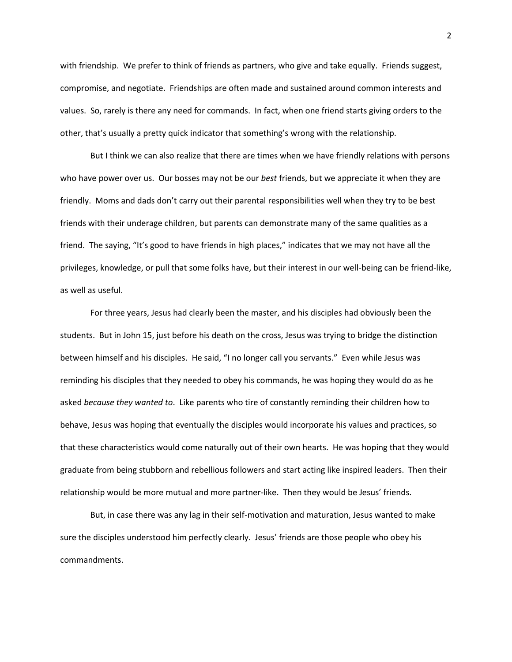with friendship. We prefer to think of friends as partners, who give and take equally. Friends suggest, compromise, and negotiate. Friendships are often made and sustained around common interests and values. So, rarely is there any need for commands. In fact, when one friend starts giving orders to the other, that's usually a pretty quick indicator that something's wrong with the relationship.

But I think we can also realize that there are times when we have friendly relations with persons who have power over us. Our bosses may not be our *best* friends, but we appreciate it when they are friendly. Moms and dads don't carry out their parental responsibilities well when they try to be best friends with their underage children, but parents can demonstrate many of the same qualities as a friend. The saying, "It's good to have friends in high places," indicates that we may not have all the privileges, knowledge, or pull that some folks have, but their interest in our well-being can be friend-like, as well as useful.

For three years, Jesus had clearly been the master, and his disciples had obviously been the students. But in John 15, just before his death on the cross, Jesus was trying to bridge the distinction between himself and his disciples. He said, "I no longer call you servants." Even while Jesus was reminding his disciples that they needed to obey his commands, he was hoping they would do as he asked *because they wanted to*. Like parents who tire of constantly reminding their children how to behave, Jesus was hoping that eventually the disciples would incorporate his values and practices, so that these characteristics would come naturally out of their own hearts. He was hoping that they would graduate from being stubborn and rebellious followers and start acting like inspired leaders. Then their relationship would be more mutual and more partner-like. Then they would be Jesus' friends.

But, in case there was any lag in their self-motivation and maturation, Jesus wanted to make sure the disciples understood him perfectly clearly. Jesus' friends are those people who obey his commandments.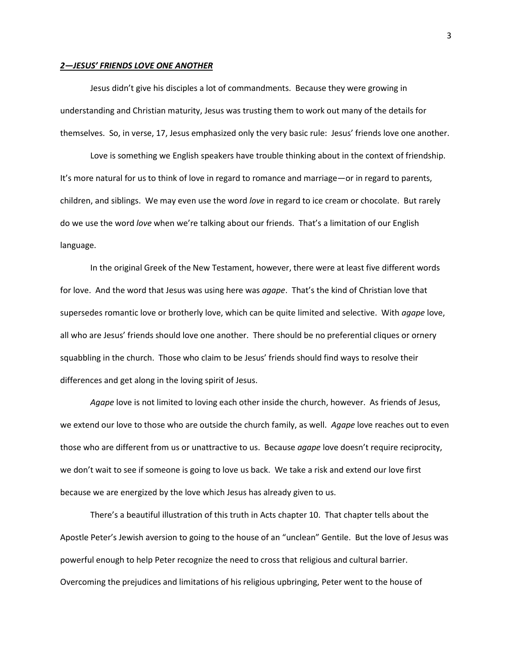### *2—JESUS' FRIENDS LOVE ONE ANOTHER*

Jesus didn't give his disciples a lot of commandments. Because they were growing in understanding and Christian maturity, Jesus was trusting them to work out many of the details for themselves. So, in verse, 17, Jesus emphasized only the very basic rule: Jesus' friends love one another.

Love is something we English speakers have trouble thinking about in the context of friendship. It's more natural for us to think of love in regard to romance and marriage—or in regard to parents, children, and siblings. We may even use the word *love* in regard to ice cream or chocolate. But rarely do we use the word *love* when we're talking about our friends. That's a limitation of our English language.

In the original Greek of the New Testament, however, there were at least five different words for love. And the word that Jesus was using here was *agape*. That's the kind of Christian love that supersedes romantic love or brotherly love, which can be quite limited and selective. With *agape* love, all who are Jesus' friends should love one another. There should be no preferential cliques or ornery squabbling in the church. Those who claim to be Jesus' friends should find ways to resolve their differences and get along in the loving spirit of Jesus.

*Agape* love is not limited to loving each other inside the church, however. As friends of Jesus, we extend our love to those who are outside the church family, as well. *Agape* love reaches out to even those who are different from us or unattractive to us. Because *agape* love doesn't require reciprocity, we don't wait to see if someone is going to love us back. We take a risk and extend our love first because we are energized by the love which Jesus has already given to us.

There's a beautiful illustration of this truth in Acts chapter 10. That chapter tells about the Apostle Peter's Jewish aversion to going to the house of an "unclean" Gentile. But the love of Jesus was powerful enough to help Peter recognize the need to cross that religious and cultural barrier. Overcoming the prejudices and limitations of his religious upbringing, Peter went to the house of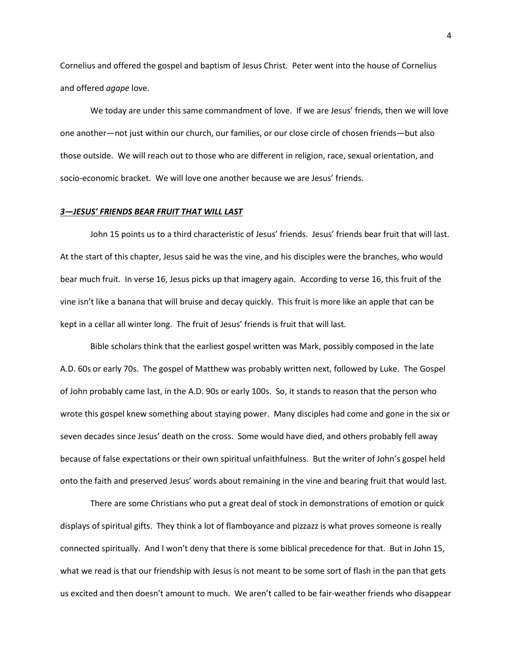Cornelius and offered the gospel and baptism of Jesus Christ. Peter went into the house of Cornelius and offered *agape* love.

We today are under this same commandment of love. If we are Jesus' friends, then we will love one another—not just within our church, our families, or our close circle of chosen friends—but also those outside. We will reach out to those who are different in religion, race, sexual orientation, and socio-economic bracket. We will love one another because we are Jesus' friends.

# *3—JESUS' FRIENDS BEAR FRUIT THAT WILL LAST*

John 15 points us to a third characteristic of Jesus' friends. Jesus' friends bear fruit that will last. At the start of this chapter, Jesus said he was the vine, and his disciples were the branches, who would bear much fruit. In verse 16, Jesus picks up that imagery again. According to verse 16, this fruit of the vine isn't like a banana that will bruise and decay quickly. This fruit is more like an apple that can be kept in a cellar all winter long. The fruit of Jesus' friends is fruit that will last.

Bible scholars think that the earliest gospel written was Mark, possibly composed in the late A.D. 60s or early 70s. The gospel of Matthew was probably written next, followed by Luke. The Gospel of John probably came last, in the A.D. 90s or early 100s. So, it stands to reason that the person who wrote this gospel knew something about staying power. Many disciples had come and gone in the six or seven decades since Jesus' death on the cross. Some would have died, and others probably fell away because of false expectations or their own spiritual unfaithfulness. But the writer of John's gospel held onto the faith and preserved Jesus' words about remaining in the vine and bearing fruit that would last.

There are some Christians who put a great deal of stock in demonstrations of emotion or quick displays of spiritual gifts. They think a lot of flamboyance and pizzazz is what proves someone is really connected spiritually. And I won't deny that there is some biblical precedence for that. But in John 15, what we read is that our friendship with Jesus is not meant to be some sort of flash in the pan that gets us excited and then doesn't amount to much. We aren't called to be fair-weather friends who disappear